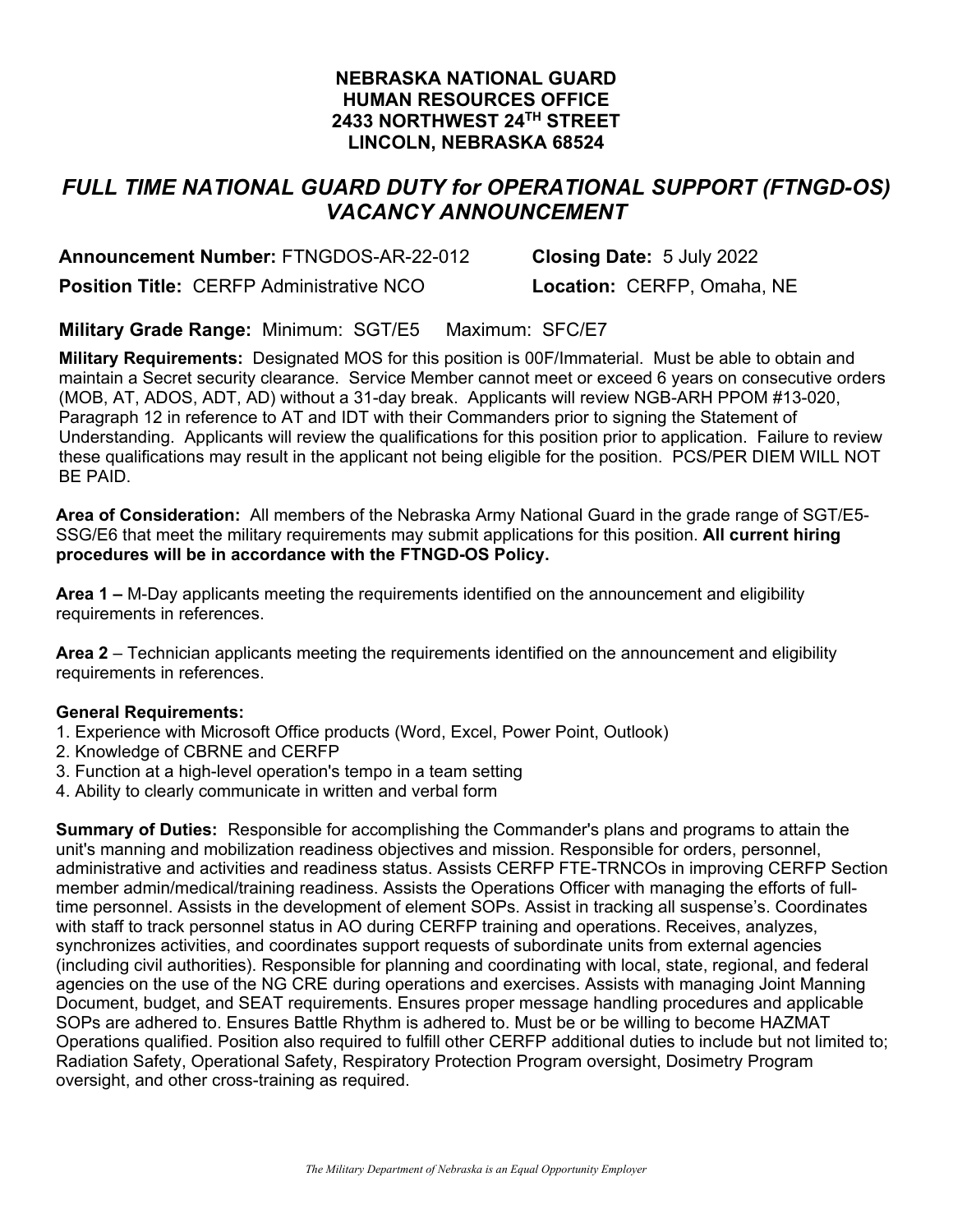## **NEBRASKA NATIONAL GUARD HUMAN RESOURCES OFFICE 2433 NORTHWEST 24TH STREET LINCOLN, NEBRASKA 68524**

## *FULL TIME NATIONAL GUARD DUTY for OPERATIONAL SUPPORT (FTNGD-OS) VACANCY ANNOUNCEMENT*

**Announcement Number:** FTNGDOS-AR-22-012 **Closing Date:** 5 July 2022 **Position Title:** CERFP Administrative NCO **Location:** CERFP, Omaha, NE

**Military Grade Range:** Minimum: SGT/E5 Maximum: SFC/E7

**Military Requirements:** Designated MOS for this position is 00F/Immaterial. Must be able to obtain and maintain a Secret security clearance. Service Member cannot meet or exceed 6 years on consecutive orders (MOB, AT, ADOS, ADT, AD) without a 31-day break. Applicants will review NGB-ARH PPOM #13-020, Paragraph 12 in reference to AT and IDT with their Commanders prior to signing the Statement of Understanding. Applicants will review the qualifications for this position prior to application. Failure to review these qualifications may result in the applicant not being eligible for the position. PCS/PER DIEM WILL NOT BE PAID.

**Area of Consideration:** All members of the Nebraska Army National Guard in the grade range of SGT/E5- SSG/E6 that meet the military requirements may submit applications for this position. **All current hiring procedures will be in accordance with the FTNGD-OS Policy.** 

**Area 1 –** M-Day applicants meeting the requirements identified on the announcement and eligibility requirements in references.

**Area 2** – Technician applicants meeting the requirements identified on the announcement and eligibility requirements in references.

### **General Requirements:**

- 1. Experience with Microsoft Office products (Word, Excel, Power Point, Outlook)
- 2. Knowledge of CBRNE and CERFP
- 3. Function at a high-level operation's tempo in a team setting
- 4. Ability to clearly communicate in written and verbal form

**Summary of Duties:** Responsible for accomplishing the Commander's plans and programs to attain the unit's manning and mobilization readiness objectives and mission. Responsible for orders, personnel, administrative and activities and readiness status. Assists CERFP FTE-TRNCOs in improving CERFP Section member admin/medical/training readiness. Assists the Operations Officer with managing the efforts of fulltime personnel. Assists in the development of element SOPs. Assist in tracking all suspense's. Coordinates with staff to track personnel status in AO during CERFP training and operations. Receives, analyzes, synchronizes activities, and coordinates support requests of subordinate units from external agencies (including civil authorities). Responsible for planning and coordinating with local, state, regional, and federal agencies on the use of the NG CRE during operations and exercises. Assists with managing Joint Manning Document, budget, and SEAT requirements. Ensures proper message handling procedures and applicable SOPs are adhered to. Ensures Battle Rhythm is adhered to. Must be or be willing to become HAZMAT Operations qualified. Position also required to fulfill other CERFP additional duties to include but not limited to; Radiation Safety, Operational Safety, Respiratory Protection Program oversight, Dosimetry Program oversight, and other cross-training as required.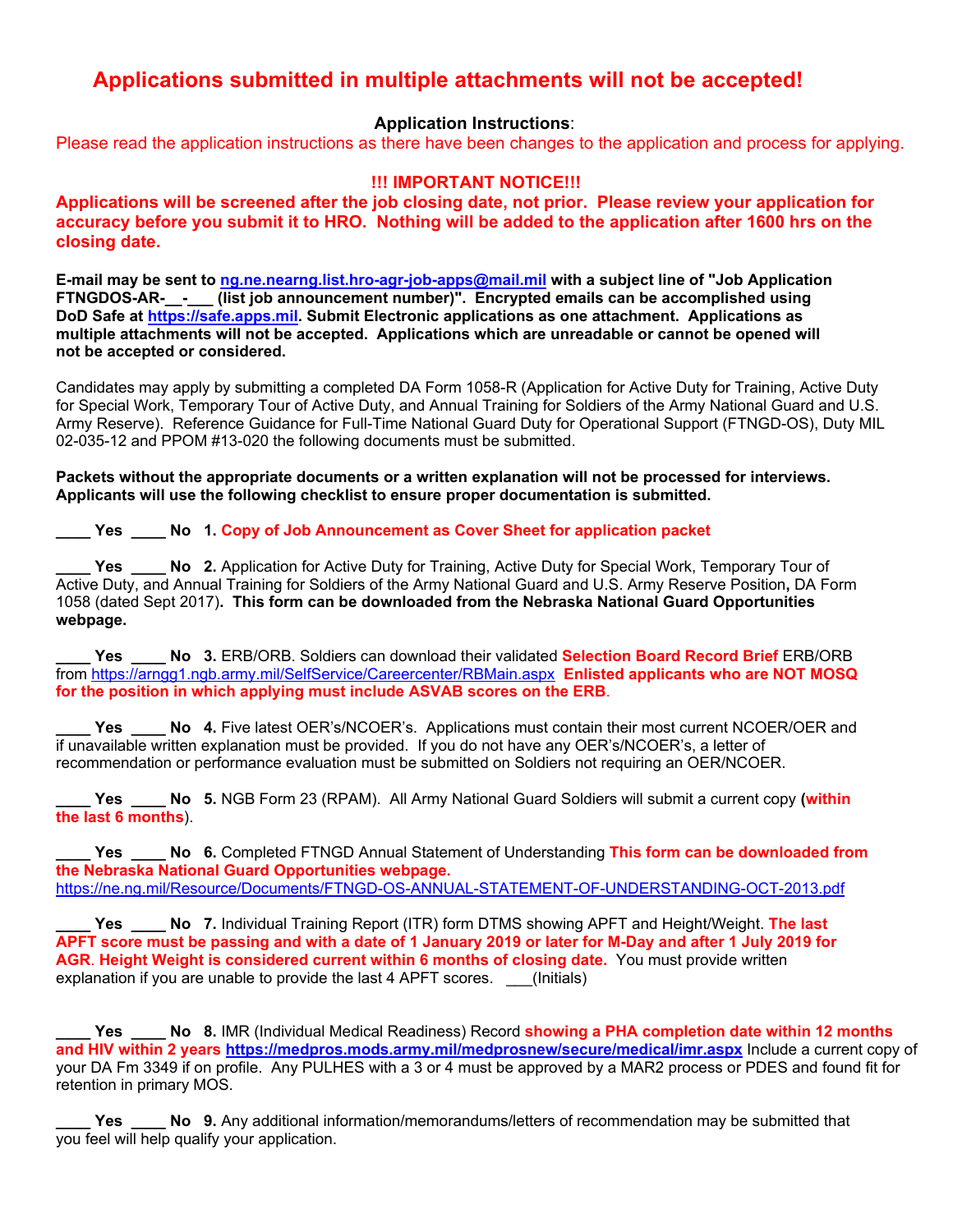# **Applications submitted in multiple attachments will not be accepted!**

### **Application Instructions**:

Please read the application instructions as there have been changes to the application and process for applying.

#### **!!! IMPORTANT NOTICE!!!**

**Applications will be screened after the job closing date, not prior. Please review your application for accuracy before you submit it to HRO. Nothing will be added to the application after 1600 hrs on the closing date.** 

**E-mail may be sent to ng.ne.nearng.list.hro-agr-job-apps@mail.mil with a subject line of "Job Application FTNGDOS-AR-\_\_-\_\_\_ (list job announcement number)". Encrypted emails can be accomplished using DoD Safe at https://safe.apps.mil. Submit Electronic applications as one attachment. Applications as multiple attachments will not be accepted. Applications which are unreadable or cannot be opened will not be accepted or considered.** 

Candidates may apply by submitting a completed DA Form 1058-R (Application for Active Duty for Training, Active Duty for Special Work, Temporary Tour of Active Duty, and Annual Training for Soldiers of the Army National Guard and U.S. Army Reserve). Reference Guidance for Full-Time National Guard Duty for Operational Support (FTNGD-OS), Duty MIL 02-035-12 and PPOM #13-020 the following documents must be submitted.

**Packets without the appropriate documents or a written explanation will not be processed for interviews. Applicants will use the following checklist to ensure proper documentation is submitted.** 

**\_\_\_\_ Yes \_\_\_\_ No 1. Copy of Job Announcement as Cover Sheet for application packet** 

Yes \_\_\_\_ No 2. Application for Active Duty for Training, Active Duty for Special Work, Temporary Tour of Active Duty, and Annual Training for Soldiers of the Army National Guard and U.S. Army Reserve Position**,** DA Form 1058 (dated Sept 2017)**. This form can be downloaded from the Nebraska National Guard Opportunities webpage.** 

Yes **No 3. ERB/ORB. Soldiers can download their validated Selection Board Record Brief ERB/ORB** from https://arngg1.ngb.army.mil/SelfService/Careercenter/RBMain.aspx **Enlisted applicants who are NOT MOSQ for the position in which applying must include ASVAB scores on the ERB**.

Yes \_\_\_\_ No 4. Five latest OER's/NCOER's. Applications must contain their most current NCOER/OER and if unavailable written explanation must be provided. If you do not have any OER's/NCOER's, a letter of recommendation or performance evaluation must be submitted on Soldiers not requiring an OER/NCOER.

**\_\_\_\_ Yes \_\_\_\_ No 5.** NGB Form 23 (RPAM). All Army National Guard Soldiers will submit a current copy **(within the last 6 months**).

**\_\_\_\_ Yes \_\_\_\_ No 6.** Completed FTNGD Annual Statement of Understanding **This form can be downloaded from the Nebraska National Guard Opportunities webpage.**  https://ne.ng.mil/Resource/Documents/FTNGD-OS-ANNUAL-STATEMENT-OF-UNDERSTANDING-OCT-2013.pdf

**\_\_\_\_ Yes \_\_\_\_ No 7.** Individual Training Report (ITR) form DTMS showing APFT and Height/Weight. **The last APFT score must be passing and with a date of 1 January 2019 or later for M-Day and after 1 July 2019 for AGR**. **Height Weight is considered current within 6 months of closing date.** You must provide written explanation if you are unable to provide the last 4 APFT scores. \_\_(Initials)

Yes **No 8.** IMR (Individual Medical Readiness) Record **showing a PHA completion date within 12 months and HIV within 2 years https://medpros.mods.army.mil/medprosnew/secure/medical/imr.aspx** Include a current copy of your DA Fm 3349 if on profile. Any PULHES with a 3 or 4 must be approved by a MAR2 process or PDES and found fit for retention in primary MOS.

**Yes \_\_\_\_ No 9.** Any additional information/memorandums/letters of recommendation may be submitted that you feel will help qualify your application.